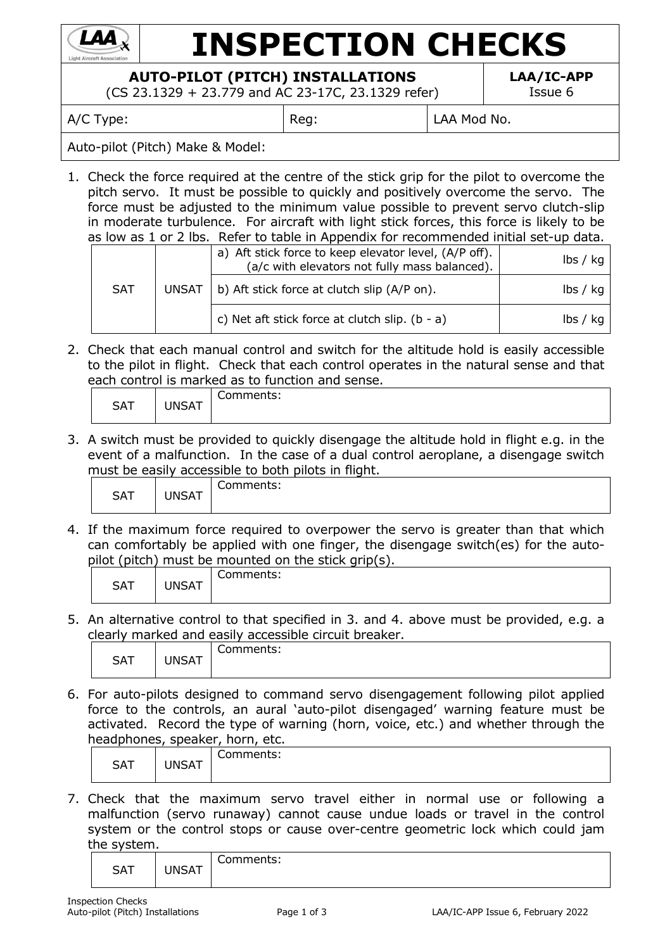

# **INSPECTION CHECKS**

## **AUTO-PILOT (PITCH) INSTALLATIONS**

(CS 23.1329 + 23.779 and AC 23-17C, 23.1329 refer)

**LAA/IC-APP** Issue 6

A/C Type:  $\vert$  Reg:  $\vert$  LAA Mod No.

#### Auto-pilot (Pitch) Make & Model:

1. Check the force required at the centre of the stick grip for the pilot to overcome the pitch servo. It must be possible to quickly and positively overcome the servo. The force must be adjusted to the minimum value possible to prevent servo clutch-slip in moderate turbulence. For aircraft with light stick forces, this force is likely to be as low as 1 or 2 lbs. Refer to table in Appendix for recommended initial set-up data.

|            | <b>UNSAT</b> | a) Aft stick force to keep elevator level, (A/P off).<br>(a/c with elevators not fully mass balanced). | $\mathsf{lbs} \mathsf{/} \mathsf{kq}$ |
|------------|--------------|--------------------------------------------------------------------------------------------------------|---------------------------------------|
| <b>SAT</b> |              | b) Aft stick force at clutch slip (A/P on).                                                            | $\mathsf{lbs} \mathsf{/} \mathsf{kq}$ |
|            |              | c) Net aft stick force at clutch slip. $(b - a)$                                                       | lbs / ka                              |

2. Check that each manual control and switch for the altitude hold is easily accessible to the pilot in flight. Check that each control operates in the natural sense and that each control is marked as to function and sense.

| __<br>__<br>. .<br>__<br>___<br>___<br>__<br>___<br>__<br>____<br>_____<br>_________<br>____ |                        |           |  |  |
|----------------------------------------------------------------------------------------------|------------------------|-----------|--|--|
| <b>SAT</b>                                                                                   | <b>INICAT</b><br>◥◡┌◥▮ | `omments: |  |  |

3. A switch must be provided to quickly disengage the altitude hold in flight e.g. in the event of a malfunction. In the case of a dual control aeroplane, a disengage switch must be easily accessible to both pilots in flight.

| -------    | ----         |                   |
|------------|--------------|-------------------|
| <b>SAT</b> | <b>INSAT</b> | $m$ monto<br>.כ.ו |
|            |              |                   |

4. If the maximum force required to overpower the servo is greater than that which can comfortably be applied with one finger, the disengage switch(es) for the autopilot (pitch) must be mounted on the stick grip(s).

| -<br>:omments:<br><b>SAT</b><br>JNSAT | . . | __<br>$\sim$ |
|---------------------------------------|-----|--------------|
|                                       |     |              |

5. An alternative control to that specified in 3. and 4. above must be provided, e.g. a clearly marked and easily accessible circuit breaker.

| <b>SAT</b> | JNSAT | ∽<br>comments:<br>ີ |
|------------|-------|---------------------|
|------------|-------|---------------------|

6. For auto-pilots designed to command servo disengagement following pilot applied force to the controls, an aural 'auto-pilot disengaged' warning feature must be activated. Record the type of warning (horn, voice, etc.) and whether through the headphones, speaker, horn, etc.

|            |       | caaphonce, speaker, norm, etc. |
|------------|-------|--------------------------------|
| <b>SAT</b> | JNSAT | Comments:                      |

7. Check that the maximum servo travel either in normal use or following a malfunction (servo runaway) cannot cause undue loads or travel in the control system or the control stops or cause over-centre geometric lock which could jam the system.

| <b>SAT</b> | <b>JNSAT</b> | ∽<br>Comments: |
|------------|--------------|----------------|
|------------|--------------|----------------|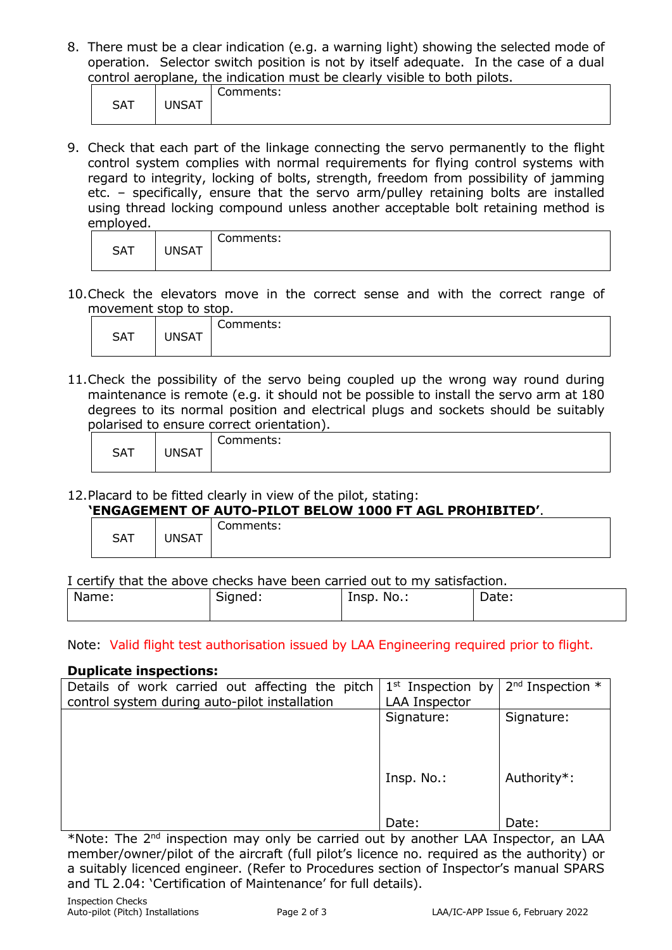8. There must be a clear indication (e.g. a warning light) showing the selected mode of operation. Selector switch position is not by itself adequate. In the case of a dual control aeroplane, the indication must be clearly visible to both pilots.

|            |       | Comments: |
|------------|-------|-----------|
| <b>SAT</b> | JNSAT |           |
|            |       |           |
|            |       |           |

9. Check that each part of the linkage connecting the servo permanently to the flight control system complies with normal requirements for flying control systems with regard to integrity, locking of bolts, strength, freedom from possibility of jamming etc. – specifically, ensure that the servo arm/pulley retaining bolts are installed using thread locking compound unless another acceptable bolt retaining method is employed.

| <b>SAT</b> | <b>JNSAT</b> | Comments: |
|------------|--------------|-----------|
|------------|--------------|-----------|

10.Check the elevators move in the correct sense and with the correct range of movement stop to stop.

| .          |              |           |
|------------|--------------|-----------|
| <b>SAT</b> | <b>JNSAT</b> | Comments: |
|            |              |           |

11.Check the possibility of the servo being coupled up the wrong way round during maintenance is remote (e.g. it should not be possible to install the servo arm at 180 degrees to its normal position and electrical plugs and sockets should be suitably polarised to ensure correct orientation).

| - - - - - - - - - - | ____<br>---------<br>__________________________ |           |  |
|---------------------|-------------------------------------------------|-----------|--|
| <b>SAT</b>          | <b>UNSAT</b>                                    | Comments: |  |
|                     |                                                 |           |  |

12.Placard to be fitted clearly in view of the pilot, stating:

### **'ENGAGEMENT OF AUTO-PILOT BELOW 1000 FT AGL PROHIBITED'**.

| Comments:<br><b>SAT</b> |  | ENGAGENENT OF AGTO TIEGT DEEGIT IGGOTT AGET INGITIEGITED : |
|-------------------------|--|------------------------------------------------------------|
|                         |  |                                                            |

I certify that the above checks have been carried out to my satisfaction.

| ____  | ___<br>___          | ____<br>______<br>. |       |
|-------|---------------------|---------------------|-------|
| Name: | <b>.</b><br>Signed: | Insp.<br>No.:       | Date: |
|       |                     |                     |       |

Note: Valid flight test authorisation issued by LAA Engineering required prior to flight.

#### **Duplicate inspections:**

| Details of work carried out affecting the pitch | $1st$ Inspection by  | $2nd$ Inspection $*$ |
|-------------------------------------------------|----------------------|----------------------|
| control system during auto-pilot installation   | <b>LAA Inspector</b> |                      |
|                                                 | Signature:           | Signature:           |
|                                                 |                      |                      |
|                                                 |                      |                      |
|                                                 |                      |                      |
|                                                 | Insp. No.:           | Authority*:          |
|                                                 |                      |                      |
|                                                 |                      |                      |
|                                                 | Date:                | Date:                |
|                                                 |                      |                      |

\*Note: The 2<sup>nd</sup> inspection may only be carried out by another LAA Inspector, an LAA member/owner/pilot of the aircraft (full pilot's licence no. required as the authority) or a suitably licenced engineer. (Refer to Procedures section of Inspector's manual SPARS and TL 2.04: 'Certification of Maintenance' for full details).